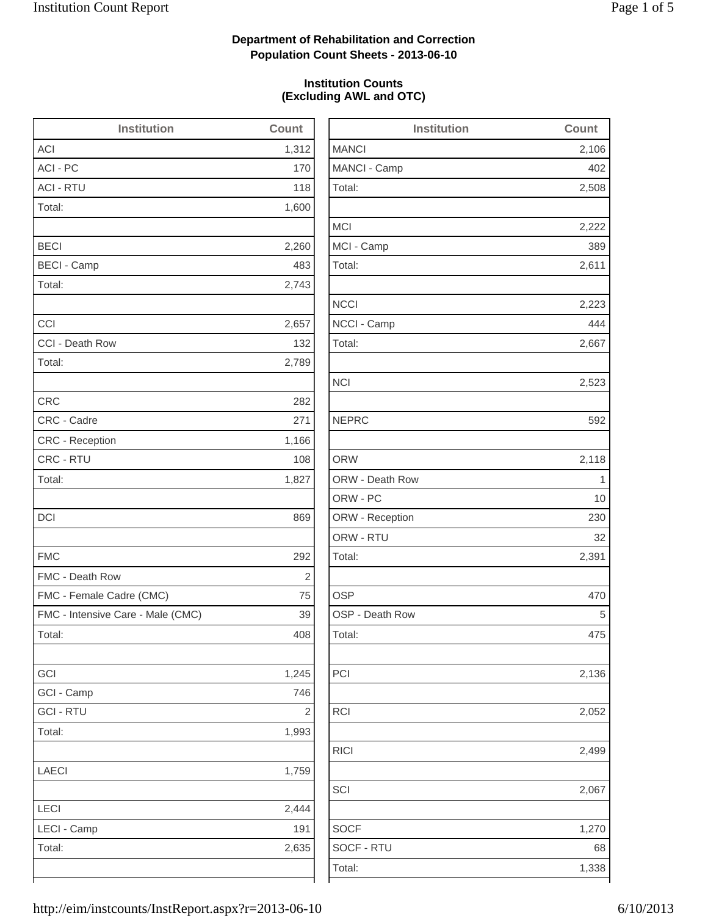2,106

2,508

2,222

2,223

2,523

2,118

2,136

2,052

2,499

2,067

1,270

## **Department of Rehabilitation and Correction Population Count Sheets - 2013-06-10**

### **Institution Counts (Excluding AWL and OTC)**

| <b>Institution</b>                | Count          | <b>Institution</b> | Count          |
|-----------------------------------|----------------|--------------------|----------------|
| <b>ACI</b>                        | 1,312          | <b>MANCI</b>       | 2,106          |
| ACI - PC                          | 170            | MANCI - Camp       | 402            |
| <b>ACI - RTU</b>                  | 118            | Total:             | 2,508          |
| Total:                            | 1,600          |                    |                |
|                                   |                | <b>MCI</b>         | 2,222          |
| <b>BECI</b>                       | 2,260          | MCI - Camp         | 389            |
| <b>BECI - Camp</b>                | 483            | Total:             | 2,611          |
| Total:                            | 2,743          |                    |                |
|                                   |                | <b>NCCI</b>        | 2,223          |
| CCI                               | 2,657          | NCCI - Camp        | 444            |
| CCI - Death Row                   | 132            | Total:             | 2,667          |
| Total:                            | 2,789          |                    |                |
|                                   |                | <b>NCI</b>         | 2,523          |
| <b>CRC</b>                        | 282            |                    |                |
| CRC - Cadre                       | 271            | <b>NEPRC</b>       | 592            |
| CRC - Reception                   | 1,166          |                    |                |
| CRC - RTU                         | 108            | <b>ORW</b>         | 2,118          |
| Total:                            | 1,827          | ORW - Death Row    | $\overline{1}$ |
|                                   |                | ORW - PC           | 10             |
| DCI                               | 869            | ORW - Reception    | 230            |
|                                   |                | ORW - RTU          | 32             |
| <b>FMC</b>                        | 292            | Total:             | 2,391          |
| FMC - Death Row                   | $\overline{c}$ |                    |                |
| FMC - Female Cadre (CMC)          | 75             | <b>OSP</b>         | 470            |
| FMC - Intensive Care - Male (CMC) | 39             | OSP - Death Row    | 5              |
| Total:                            | 408            | Total:             | 475            |
| GCI                               | 1,245          | PCI                | 2,136          |
| GCI - Camp                        | 746            |                    |                |
| <b>GCI - RTU</b>                  | $\overline{c}$ | RCI                | 2,052          |
| Total:                            | 1,993          |                    |                |
|                                   |                | <b>RICI</b>        | 2,499          |
| LAECI                             | 1,759          |                    |                |
|                                   |                | SCI                | 2,067          |
| LECI                              | 2,444          |                    |                |
| LECI - Camp                       | 191            | <b>SOCF</b>        | 1,270          |
| Total:                            | 2,635          | SOCF - RTU         | 68             |
|                                   |                | Total:             | 1,338          |
|                                   |                |                    |                |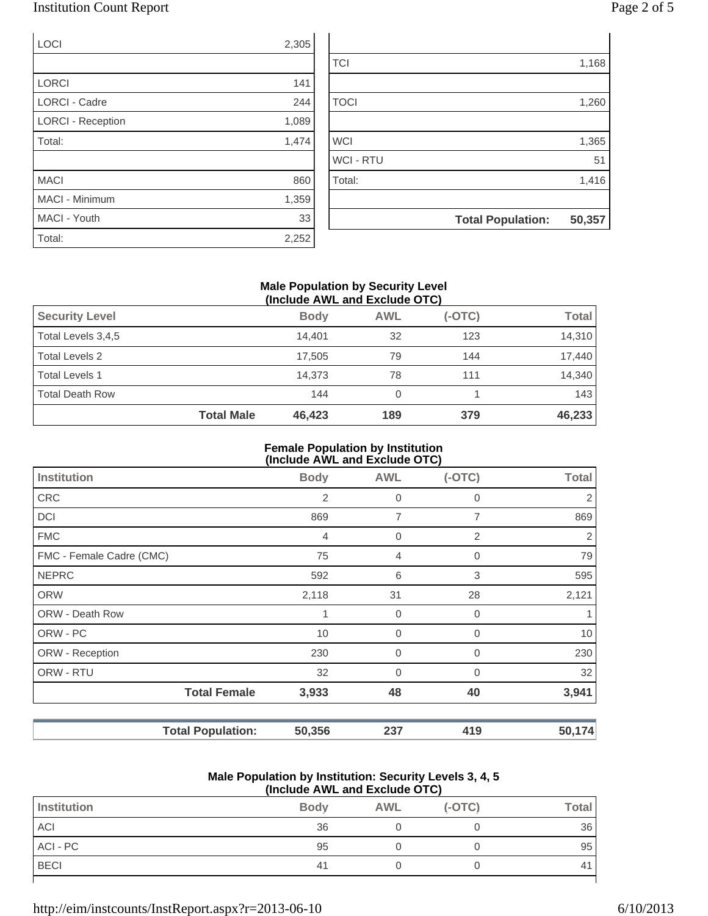## Institution Count Report Page 2 of 5

| <b>LOCI</b>              | 2,305 |
|--------------------------|-------|
|                          |       |
| <b>LORCI</b>             | 141   |
| <b>LORCI - Cadre</b>     | 244   |
| <b>LORCI - Reception</b> | 1,089 |
| Total:                   | 1,474 |
|                          |       |
| <b>MACI</b>              | 860   |
| <b>MACI - Minimum</b>    | 1,359 |
| MACI - Youth             | 33    |

Total: 2,252

| 1,365<br>51<br>1,416 |
|----------------------|
|                      |
|                      |
|                      |
|                      |
|                      |
| 1,260                |
|                      |
| 1,168                |
|                      |

### **Male Population by Security Level (Include AWL and Exclude OTC)**

|                        | <b>Total Male</b> | 46,423      | 189        | 379      | 46,233       |
|------------------------|-------------------|-------------|------------|----------|--------------|
| <b>Total Death Row</b> |                   | 144         | 0          |          | 143          |
| <b>Total Levels 1</b>  |                   | 14.373      | 78         | 111      | 14,340       |
| Total Levels 2         |                   | 17.505      | 79         | 144      | 17.440       |
| Total Levels 3,4,5     |                   | 14.401      | 32         | 123      | 14,310       |
| <b>Security Level</b>  |                   | <b>Body</b> | <b>AWL</b> | $(-OTC)$ | <b>Total</b> |
|                        |                   |             |            |          |              |

#### **Female Population by Institution (Include AWL and Exclude OTC)**

|                          | $\mu$ , $\mu$ , $\mu$ , $\mu$ , $\mu$ , $\mu$ , $\mu$ , $\mu$ , $\mu$ , $\mu$ , $\mu$ , $\mu$ |                |                |             |              |  |
|--------------------------|-----------------------------------------------------------------------------------------------|----------------|----------------|-------------|--------------|--|
| <b>Institution</b>       |                                                                                               | <b>Body</b>    | <b>AWL</b>     | $(-OTC)$    | <b>Total</b> |  |
| <b>CRC</b>               |                                                                                               | $\overline{2}$ | $\overline{0}$ | 0           | 2            |  |
| <b>DCI</b>               |                                                                                               | 869            | 7              | 7           | 869          |  |
| <b>FMC</b>               |                                                                                               | $\overline{4}$ | 0              | 2           | 2            |  |
| FMC - Female Cadre (CMC) |                                                                                               | 75             | 4              | 0           | 79           |  |
| <b>NEPRC</b>             |                                                                                               | 592            | 6              | 3           | 595          |  |
| <b>ORW</b>               |                                                                                               | 2,118          | 31             | 28          | 2,121        |  |
| <b>ORW - Death Row</b>   |                                                                                               | 1              | $\mathbf 0$    | $\mathbf 0$ |              |  |
| ORW - PC                 |                                                                                               | 10             | $\overline{0}$ | $\Omega$    | 10           |  |
| ORW - Reception          |                                                                                               | 230            | $\mathbf 0$    | $\Omega$    | 230          |  |
| ORW - RTU                |                                                                                               | 32             | 0              | $\mathbf 0$ | 32           |  |
|                          | <b>Total Female</b>                                                                           | 3,933          | 48             | 40          | 3,941        |  |
|                          | <b>Total Population:</b>                                                                      | 50,356         | 237            | 419         | 50,174       |  |

#### **Male Population by Institution: Security Levels 3, 4, 5 (Include AWL and Exclude OTC)**

| \''''''''''''''''''' Exvitut -''''' |                |            |          |              |  |
|-------------------------------------|----------------|------------|----------|--------------|--|
| Institution                         | <b>Body</b>    | <b>AWL</b> | $(-OTC)$ | <b>Total</b> |  |
| ACI                                 | 36             |            |          | 36           |  |
| ACI - PC                            | 95             |            |          | 95           |  |
| <b>BECI</b>                         | 4 <sup>1</sup> |            |          | 41           |  |
|                                     |                |            |          |              |  |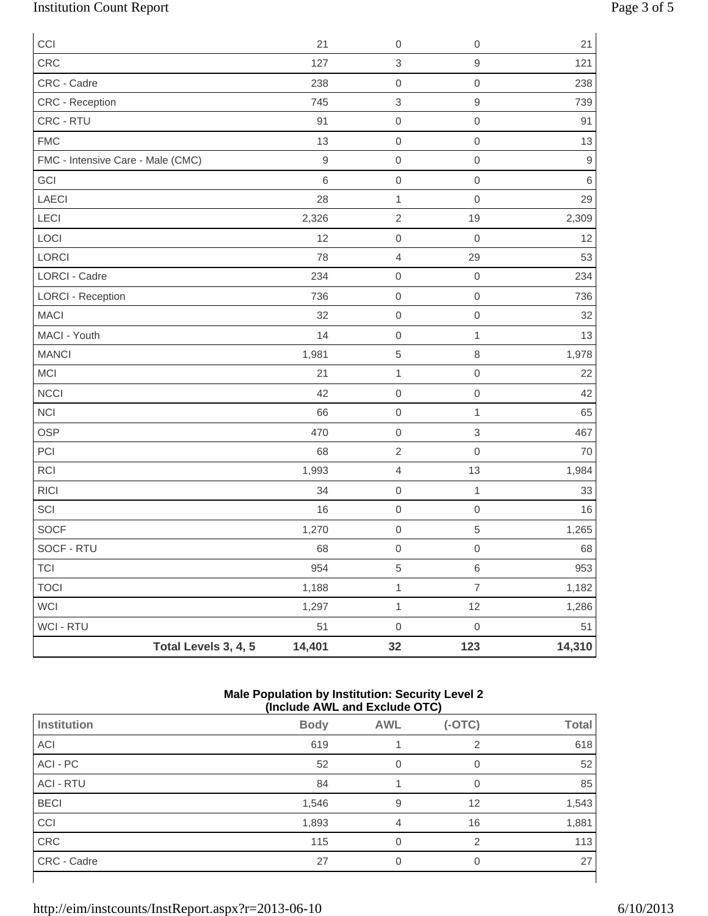# Institution Count Report Page 3 of 5

| CCI                               |                      | 21               | $\mbox{O}$          | $\mathbf 0$         | 21          |
|-----------------------------------|----------------------|------------------|---------------------|---------------------|-------------|
| CRC                               |                      | 127              | $\,3$               | $\hbox{9}$          | 121         |
| CRC - Cadre                       |                      | 238              | $\mbox{O}$          | $\mbox{O}$          | 238         |
| CRC - Reception                   |                      | 745              | $\,$ 3 $\,$         | $\mathsf 9$         | 739         |
| CRC - RTU                         |                      | 91               | $\mathbf 0$         | $\mathbf 0$         | 91          |
| <b>FMC</b>                        |                      | 13               | $\,0\,$             | $\,0\,$             | 13          |
| FMC - Intensive Care - Male (CMC) |                      | $\boldsymbol{9}$ | $\mathbf 0$         | $\mathbf 0$         | $\mathsf 9$ |
| GCI                               |                      | $\,6$            | $\mbox{O}$          | $\mbox{O}$          | $\,6$       |
| LAECI                             |                      | 28               | $\mathbf 1$         | $\mathbf 0$         | 29          |
| LECI                              |                      | 2,326            | $\sqrt{2}$          | 19                  | 2,309       |
| LOCI                              |                      | 12               | $\mathbf 0$         | $\mathbf 0$         | 12          |
| LORCI                             |                      | 78               | $\sqrt{4}$          | 29                  | 53          |
| <b>LORCI - Cadre</b>              |                      | 234              | $\mbox{O}$          | $\boldsymbol{0}$    | 234         |
| <b>LORCI - Reception</b>          |                      | 736              | $\mathbf 0$         | $\mathbf 0$         | 736         |
| <b>MACI</b>                       |                      | 32               | $\mathbf 0$         | $\mathbf 0$         | 32          |
| MACI - Youth                      |                      | 14               | $\,0\,$             | $\mathbf{1}$        | 13          |
| <b>MANCI</b>                      |                      | 1,981            | $\,$ 5 $\,$         | 8                   | 1,978       |
| MCI                               |                      | 21               | $\mathbf 1$         | $\mathsf{O}\xspace$ | 22          |
| <b>NCCI</b>                       |                      | 42               | $\mathbf 0$         | $\mathbf 0$         | 42          |
| <b>NCI</b>                        |                      | 66               | $\mathbf 0$         | 1                   | 65          |
| <b>OSP</b>                        |                      | 470              | $\,0\,$             | $\,$ 3 $\,$         | 467         |
| PCI                               |                      | 68               | $\sqrt{2}$          | $\mathsf{O}\xspace$ | 70          |
| <b>RCI</b>                        |                      | 1,993            | $\overline{4}$      | 13                  | 1,984       |
| <b>RICI</b>                       |                      | 34               | $\mathbf 0$         | $\mathbf{1}$        | 33          |
| SCI                               |                      | 16               | $\mathbf 0$         | $\mathbf 0$         | 16          |
| SOCF                              |                      | 1,270            | $\mbox{O}$          | 5                   | 1,265       |
| SOCF - RTU                        |                      | 68               | $\mathsf{O}\xspace$ | $\mathsf{O}\xspace$ | 68          |
| <b>TCI</b>                        |                      | 954              | $\,$ 5 $\,$         | $\,6\,$             | 953         |
| <b>TOCI</b>                       |                      | 1,188            | $\mathbf{1}$        | $\overline{7}$      | 1,182       |
| WCI                               |                      | 1,297            | $\mathbf 1$         | 12                  | 1,286       |
| WCI - RTU                         |                      | 51               | $\mathbf 0$         | $\,0\,$             | 51          |
|                                   | Total Levels 3, 4, 5 | 14,401           | 32                  | 123                 | 14,310      |

#### **Male Population by Institution: Security Level 2 (Include AWL and Exclude OTC)**

|                    | $(11.3)$ and $(11.1)$ and $(21.3)$ and $(31.4)$ |            |          |              |
|--------------------|-------------------------------------------------|------------|----------|--------------|
| Institution        | <b>Body</b>                                     | <b>AWL</b> | $(-OTC)$ | <b>Total</b> |
| ACI                | 619                                             |            | っ        | 618          |
| ACI - PC           | 52                                              | $\Omega$   | 0        | 52           |
| <b>ACI - RTU</b>   | 84                                              |            | 0        | 85           |
| <b>BECI</b>        | 1,546                                           | 9          | 12       | 1,543        |
| CCI                | 1,893                                           | 4          | 16       | 1,881        |
| CRC                | 115                                             | $\Omega$   | 2        | 113          |
| <b>CRC - Cadre</b> | 27                                              | $\Omega$   | 0        | 27           |
|                    |                                                 |            |          |              |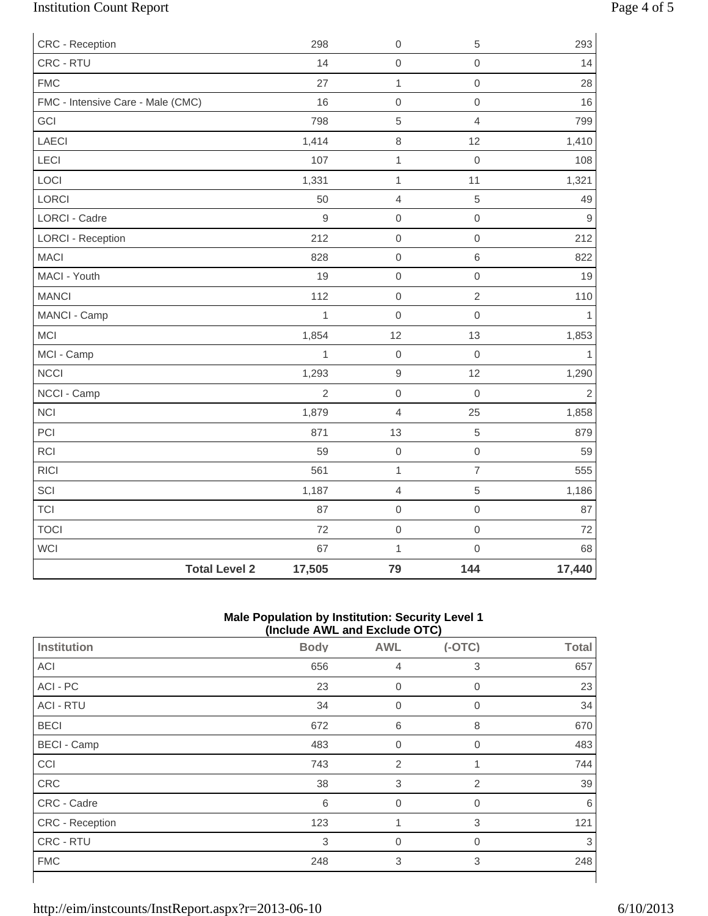# Institution Count Report Page 4 of 5

| CRC - Reception                   |                                | 298<br>$\boldsymbol{0}$       | $\,$ 5 $\,$         | 293            |
|-----------------------------------|--------------------------------|-------------------------------|---------------------|----------------|
| CRC - RTU                         |                                | 14<br>$\mathbf 0$             | $\mathsf{O}\xspace$ | 14             |
| <b>FMC</b>                        |                                | 27<br>$\mathbf{1}$            | $\mathsf{O}\xspace$ | 28             |
| FMC - Intensive Care - Male (CMC) |                                | 16<br>$\mbox{O}$              | $\mathsf{O}\xspace$ | 16             |
| GCI                               |                                | $\overline{5}$<br>798         | $\overline{4}$      | 799            |
| LAECI                             | 1,414                          | $\,8\,$                       | 12                  | 1,410          |
| <b>LECI</b>                       |                                | 107<br>$\mathbf 1$            | $\mbox{O}$          | 108            |
| LOCI                              | 1,331                          | $\mathbf{1}$                  | 11                  | 1,321          |
| LORCI                             |                                | 50<br>$\overline{4}$          | 5                   | 49             |
| LORCI - Cadre                     |                                | $\overline{9}$<br>$\mbox{O}$  | $\mathsf{O}\xspace$ | $\overline{9}$ |
| <b>LORCI - Reception</b>          |                                | 212<br>$\mathbf 0$            | $\mathsf{O}\xspace$ | 212            |
| <b>MACI</b>                       |                                | 828<br>$\mathbf 0$            | 6                   | 822            |
| MACI - Youth                      |                                | 19<br>$\mbox{O}$              | $\mathsf{O}\xspace$ | 19             |
| <b>MANCI</b>                      |                                | 112<br>$\mathbf 0$            | $\overline{2}$      | 110            |
| MANCI - Camp                      |                                | $\mathbf{1}$<br>$\mathbf 0$   | $\mathsf{O}\xspace$ | $\mathbf{1}$   |
| <b>MCI</b>                        | 1,854                          | 12                            | 13                  | 1,853          |
| MCI - Camp                        |                                | $\overline{1}$<br>$\mathbf 0$ | $\mathbf 0$         | $\mathbf{1}$   |
| <b>NCCI</b>                       | 1,293                          | $\mathsf g$                   | 12                  | 1,290          |
| NCCI - Camp                       |                                | $\mathbf 0$<br>$\overline{2}$ | $\mathbf 0$         | $\overline{2}$ |
| <b>NCI</b>                        | 1,879                          | $\overline{4}$                | 25                  | 1,858          |
| PCI                               |                                | 871<br>13                     | 5                   | 879            |
| <b>RCI</b>                        |                                | 59<br>$\mbox{O}$              | $\mathsf{O}\xspace$ | 59             |
| <b>RICI</b>                       |                                | 561<br>$\mathbf 1$            | $\overline{7}$      | 555            |
| SCI                               | 1,187                          | $\overline{4}$                | 5                   | 1,186          |
| <b>TCI</b>                        |                                | 87<br>$\mathbf 0$             | $\mathbf 0$         | 87             |
| <b>TOCI</b>                       |                                | 72<br>$\mathbf 0$             | $\mathsf{O}\xspace$ | 72             |
| WCI                               |                                | 67<br>$\mathbf{1}$            | $\mathsf{O}\xspace$ | 68             |
|                                   | <b>Total Level 2</b><br>17,505 | 79                            | 144                 | 17,440         |

### **Male Population by Institution: Security Level 1 (Include AWL and Exclude OTC)**

| $(110100C)$ and the column $(010)$ |             |                  |                |              |  |
|------------------------------------|-------------|------------------|----------------|--------------|--|
| Institution                        | <b>Body</b> | <b>AWL</b>       | $(-OTC)$       | <b>Total</b> |  |
| ACI                                | 656         | 4                | 3              | 657          |  |
| ACI - PC                           | 23          | $\boldsymbol{0}$ | $\overline{0}$ | 23           |  |
| <b>ACI - RTU</b>                   | 34          | $\overline{0}$   | 0              | 34           |  |
| <b>BECI</b>                        | 672         | 6                | 8              | 670          |  |
| <b>BECI - Camp</b>                 | 483         | $\overline{0}$   | $\mathbf 0$    | 483          |  |
| CCI                                | 743         | $\overline{2}$   |                | 744          |  |
| CRC                                | 38          | 3                | $\overline{2}$ | 39           |  |
| CRC - Cadre                        | 6           | $\overline{0}$   | 0              | 6            |  |
| CRC - Reception                    | 123         |                  | 3              | 121          |  |
| CRC - RTU                          | 3           | $\mathbf 0$      | $\overline{0}$ | 3            |  |
| <b>FMC</b>                         | 248         | 3                | 3              | 248          |  |
|                                    |             |                  |                |              |  |